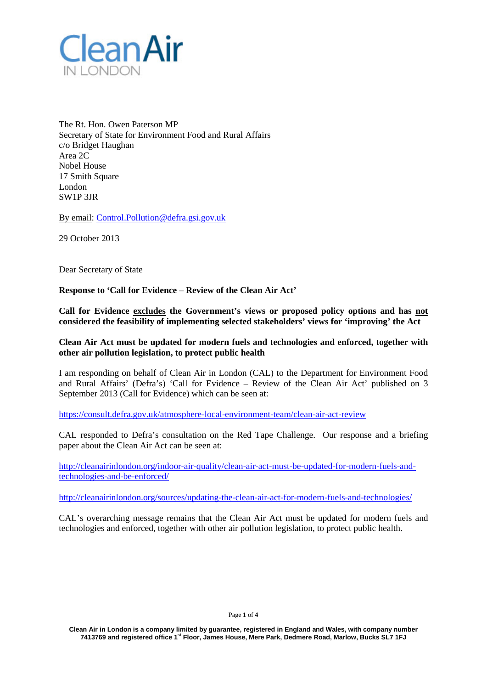

The Rt. Hon. Owen Paterson MP Secretary of State for Environment Food and Rural Affairs c/o Bridget Haughan Area 2C Nobel House 17 Smith Square London SW1P 3JR

By email: [Control.Pollution@defra.gsi.gov.uk](mailto:Control.Pollution@defra.gsi.gov.uk)

29 October 2013

Dear Secretary of State

**Response to 'Call for Evidence – Review of the Clean Air Act'**

**Call for Evidence excludes the Government's views or proposed policy options and has not considered the feasibility of implementing selected stakeholders' views for 'improving' the Act**

**Clean Air Act must be updated for modern fuels and technologies and enforced, together with other air pollution legislation, to protect public health**

I am responding on behalf of Clean Air in London (CAL) to the Department for Environment Food and Rural Affairs' (Defra's) 'Call for Evidence – Review of the Clean Air Act' published on 3 September 2013 (Call for Evidence) which can be seen at:

<https://consult.defra.gov.uk/atmosphere-local-environment-team/clean-air-act-review>

CAL responded to Defra's consultation on the Red Tape Challenge. Our response and a briefing paper about the Clean Air Act can be seen at:

[http://cleanairinlondon.org/indoor-air-quality/clean-air-act-must-be-updated-for-modern-fuels-and](http://cleanairinlondon.org/indoor-air-quality/clean-air-act-must-be-updated-for-modern-fuels-and-technologies-and-be-enforced/)[technologies-and-be-enforced/](http://cleanairinlondon.org/indoor-air-quality/clean-air-act-must-be-updated-for-modern-fuels-and-technologies-and-be-enforced/)

<http://cleanairinlondon.org/sources/updating-the-clean-air-act-for-modern-fuels-and-technologies/>

CAL's overarching message remains that the Clean Air Act must be updated for modern fuels and technologies and enforced, together with other air pollution legislation, to protect public health.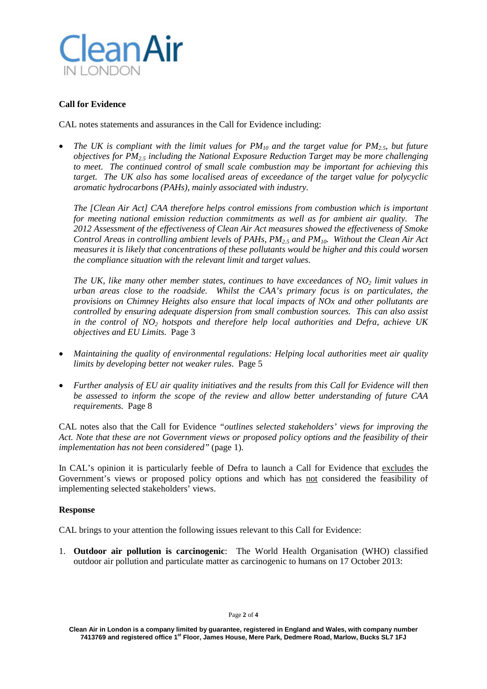

## **Call for Evidence**

CAL notes statements and assurances in the Call for Evidence including:

• *The UK is compliant with the limit values for PM10 and the target value for PM2.5, but future objectives for PM2.5 including the National Exposure Reduction Target may be more challenging to meet. The continued control of small scale combustion may be important for achieving this target. The UK also has some localised areas of exceedance of the target value for polycyclic aromatic hydrocarbons (PAHs), mainly associated with industry.*

*The [Clean Air Act] CAA therefore helps control emissions from combustion which is important for meeting national emission reduction commitments as well as for ambient air quality. The 2012 Assessment of the effectiveness of Clean Air Act measures showed the effectiveness of Smoke Control Areas in controlling ambient levels of PAHs, PM2.5 and PM10. Without the Clean Air Act measures it is likely that concentrations of these pollutants would be higher and this could worsen the compliance situation with the relevant limit and target values.* 

*The UK, like many other member states, continues to have exceedances of NO<sub>2</sub> <i>limit values in urban areas close to the roadside. Whilst the CAA's primary focus is on particulates, the provisions on Chimney Heights also ensure that local impacts of NOx and other pollutants are controlled by ensuring adequate dispersion from small combustion sources. This can also assist in the control of NO2 hotspots and therefore help local authorities and Defra, achieve UK objectives and EU Limits.* Page 3

- *Maintaining the quality of environmental regulations: Helping local authorities meet air quality limits by developing better not weaker rules*. Page 5
- *Further analysis of EU air quality initiatives and the results from this Call for Evidence will then be assessed to inform the scope of the review and allow better understanding of future CAA requirements.* Page 8

CAL notes also that the Call for Evidence *"outlines selected stakeholders' views for improving the Act. Note that these are not Government views or proposed policy options and the feasibility of their implementation has not been considered"* (page 1).

In CAL's opinion it is particularly feeble of Defra to launch a Call for Evidence that excludes the Government's views or proposed policy options and which has not considered the feasibility of implementing selected stakeholders' views.

## **Response**

CAL brings to your attention the following issues relevant to this Call for Evidence:

1. **Outdoor air pollution is carcinogenic**: The World Health Organisation (WHO) classified outdoor air pollution and particulate matter as carcinogenic to humans on 17 October 2013: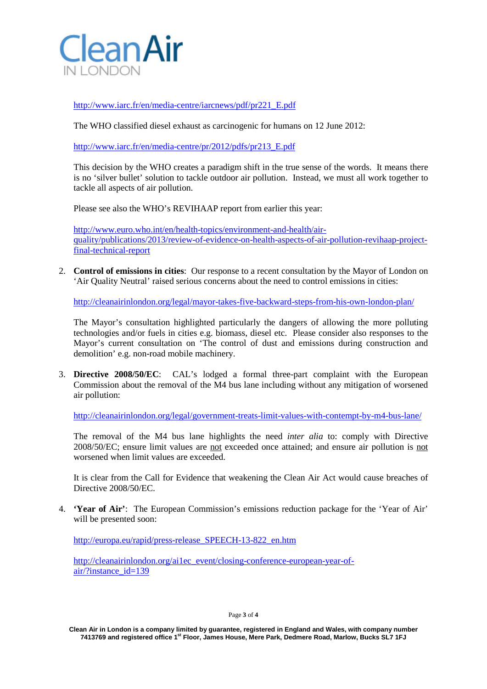

[http://www.iarc.fr/en/media-centre/iarcnews/pdf/pr221\\_E.pdf](http://www.iarc.fr/en/media-centre/iarcnews/pdf/pr221_E.pdf)

The WHO classified diesel exhaust as carcinogenic for humans on 12 June 2012:

[http://www.iarc.fr/en/media-centre/pr/2012/pdfs/pr213\\_E.pdf](http://www.iarc.fr/en/media-centre/pr/2012/pdfs/pr213_E.pdf)

This decision by the WHO creates a paradigm shift in the true sense of the words. It means there is no 'silver bullet' solution to tackle outdoor air pollution. Instead, we must all work together to tackle all aspects of air pollution.

Please see also the WHO's REVIHAAP report from earlier this year:

[http://www.euro.who.int/en/health-topics/environment-and-health/air](http://www.euro.who.int/en/health-topics/environment-and-health/air-quality/publications/2013/review-of-evidence-on-health-aspects-of-air-pollution-revihaap-project-final-technical-report)[quality/publications/2013/review-of-evidence-on-health-aspects-of-air-pollution-revihaap-project](http://www.euro.who.int/en/health-topics/environment-and-health/air-quality/publications/2013/review-of-evidence-on-health-aspects-of-air-pollution-revihaap-project-final-technical-report)[final-technical-report](http://www.euro.who.int/en/health-topics/environment-and-health/air-quality/publications/2013/review-of-evidence-on-health-aspects-of-air-pollution-revihaap-project-final-technical-report)

2. **Control of emissions in cities**: Our response to a recent consultation by the Mayor of London on 'Air Quality Neutral' raised serious concerns about the need to control emissions in cities:

<http://cleanairinlondon.org/legal/mayor-takes-five-backward-steps-from-his-own-london-plan/>

The Mayor's consultation highlighted particularly the dangers of allowing the more polluting technologies and/or fuels in cities e.g. biomass, diesel etc. Please consider also responses to the Mayor's current consultation on 'The control of dust and emissions during construction and demolition' e.g. non-road mobile machinery.

3. **Directive 2008/50/EC**: CAL's lodged a formal three-part complaint with the European Commission about the removal of the M4 bus lane including without any mitigation of worsened air pollution:

<http://cleanairinlondon.org/legal/government-treats-limit-values-with-contempt-by-m4-bus-lane/>

The removal of the M4 bus lane highlights the need *inter alia* to: comply with Directive 2008/50/EC; ensure limit values are not exceeded once attained; and ensure air pollution is not worsened when limit values are exceeded.

It is clear from the Call for Evidence that weakening the Clean Air Act would cause breaches of Directive 2008/50/EC.

4. **'Year of Air'**: The European Commission's emissions reduction package for the 'Year of Air' will be presented soon:

[http://europa.eu/rapid/press-release\\_SPEECH-13-822\\_en.htm](http://europa.eu/rapid/press-release_SPEECH-13-822_en.htm)

[http://cleanairinlondon.org/ai1ec\\_event/closing-conference-european-year-of](http://cleanairinlondon.org/ai1ec_event/closing-conference-european-year-of-air/?instance_id=139)[air/?instance\\_id=139](http://cleanairinlondon.org/ai1ec_event/closing-conference-european-year-of-air/?instance_id=139)

**Clean Air in London is a company limited by guarantee, registered in England and Wales, with company number 7413769 and registered office 1st Floor, James House, Mere Park, Dedmere Road, Marlow, Bucks SL7 1FJ**